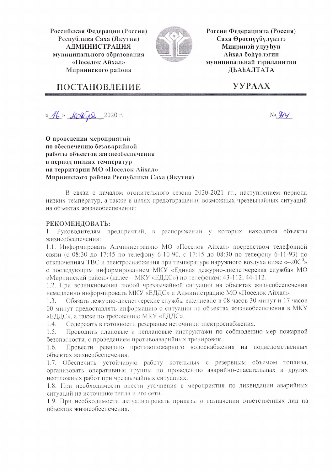Российская Федерация (Россия) Республика Саха (Якутия) **АДМИНИСТРАЦИЯ** муниципального образования «Поселок Айхал» Мирнинского района



Россия Федерацията (Россия) Саха Өрөспүүбүлүкэтэ **Мииринэй улууһун** Айхал бөһүөлэгин муниципальнай тэриллиитин ДЬАҺАЛТАТА

## ПОСТАНОВЛЕНИЕ

**YYPAAX** 

«16» Korope 2020 r.

О проведении мероприятий по обеспечению безаварийной работы объектов жизнеобеспечения в период низких температур на территории МО «Поселок Айхал» Мирнинского района Республики Саха (Якутия)

В связи с началом отопительного сезона 2020-2021 гг., наступлением периода низких температур, а также в целях предотвращения возможных чрезвычайных ситуаций на объектах жизнеобеспечения:

## РЕКОМЕНДОВАТЬ:

1. Руководителям предприятий, в распоряжении у которых находятся объекты жизнеобеспечения:

1.1. Информировать Администрацию МО «Поселок Айхал» посредством телефонной связи (с 08:30 до 17:45 по телефону 6-10-90, с 17:45 до 08:30 по телефону 6-11-93) по отключениям ТВС и электроснабжения при температуре наружного воздуха ниже « $-20C^0$ » с последующим информированием МКУ «Единая дежурно-диспетчерская служба» МО «Мирнинский район» (далее - МКУ «ЕДДС») по телефонам: 43-112; 44-112.

1.2. При возникновении любой чрезвычайной ситуации на объектах жизнеобеспечения немедленно информировать МКУ «ЕДДС» и Администрацию МО «Поселок Айхал».

Обязать дежурно-диспетчерские службы ежедневно в 08 часов 30 минут и 17 часов  $1.3.$ 00 минут предоставлять информацию о ситуации на объектах жизнеобеспечения в МКУ «ЕДДС», а также по требованию МКУ «ЕДДС».

Содержать в готовности резервные источники электроснабжения.  $1.4.$ 

Проводить плановые и неплановые инструктажи по соблюдению мер пожарной  $1.5.$ безопасности, с проведением противоаварийных тренировок.

Провести ревизию противопожарного водоснабжения на подведомственных  $1.6.$ объектах жизнеобеспечения.

1.7. Обеспечить устойчивую работу котельных с резервным объемом топлива, организовать оперативные группы по проведению аварийно-спасательных и других неотложных работ при чрезвычайных ситуациях.

1.8. При необходимости внести уточнения в мероприятия по ликвидации аварийных ситуаций на источнике тепла и его сети.

1.9. При необходимости актуализировать приказы о назначении ответственных лиц на объектах жизнеобеспечения.

 $N_2$   $244$